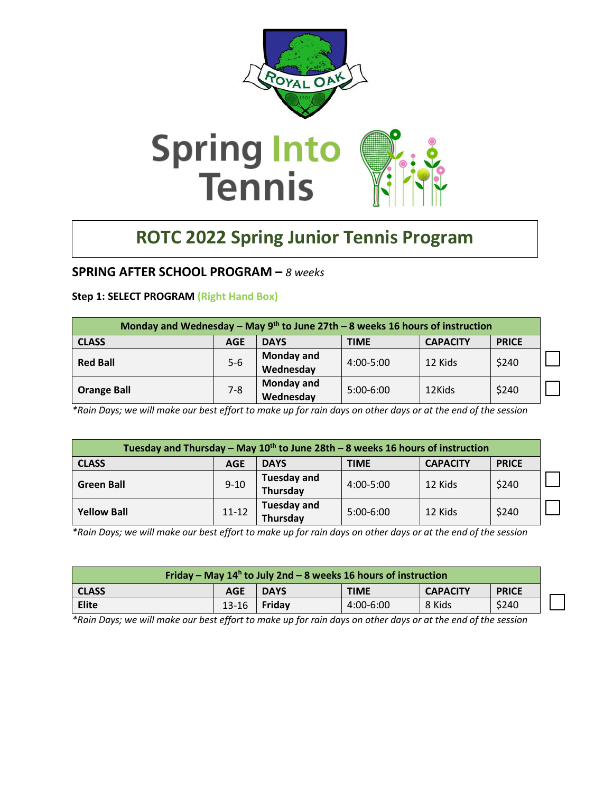

# **ROTC 2022 Spring Junior Tennis Program**

### **SPRING AFTER SCHOOL PROGRAM –** *8 weeks*

#### **Step 1: SELECT PROGRAM (Right Hand Box)**

| Monday and Wednesday – May 9 <sup>th</sup> to June 27th – 8 weeks 16 hours of instruction |                                                                             |                                |               |         |       |  |
|-------------------------------------------------------------------------------------------|-----------------------------------------------------------------------------|--------------------------------|---------------|---------|-------|--|
| <b>CLASS</b>                                                                              | <b>DAYS</b><br><b>CAPACITY</b><br><b>PRICE</b><br><b>AGE</b><br><b>TIME</b> |                                |               |         |       |  |
| <b>Red Ball</b>                                                                           | $5-6$                                                                       | <b>Monday and</b><br>Wednesday | $4:00 - 5:00$ | 12 Kids | \$240 |  |
| <b>Orange Ball</b>                                                                        | $7 - 8$                                                                     | <b>Monday and</b><br>Wednesday | $5:00-6:00$   | 12Kids  | \$240 |  |

*\*Rain Days; we will make our best effort to make up for rain days on other days or at the end of the session*

| Tuesday and Thursday – May $10^{th}$ to June 28th – 8 weeks 16 hours of instruction |                                                                             |                                |             |         |       |  |
|-------------------------------------------------------------------------------------|-----------------------------------------------------------------------------|--------------------------------|-------------|---------|-------|--|
| <b>CLASS</b>                                                                        | <b>CAPACITY</b><br><b>DAYS</b><br><b>TIME</b><br><b>PRICE</b><br><b>AGE</b> |                                |             |         |       |  |
| <b>Green Ball</b>                                                                   | $9 - 10$                                                                    | <b>Tuesday and</b><br>Thursday | 4:00-5:00   | 12 Kids | \$240 |  |
| <b>Yellow Ball</b>                                                                  | $11 - 12$                                                                   | <b>Tuesday and</b><br>Thursday | $5:00-6:00$ | 12 Kids | \$240 |  |

*\*Rain Days; we will make our best effort to make up for rain days on other days or at the end of the session*

| Friday – May $14h$ to July 2nd – 8 weeks 16 hours of instruction |                                                                             |        |           |        |       |
|------------------------------------------------------------------|-----------------------------------------------------------------------------|--------|-----------|--------|-------|
| <b>CLASS</b>                                                     | <b>PRICE</b><br><b>TIME</b><br><b>CAPACITY</b><br><b>AGE</b><br><b>DAYS</b> |        |           |        |       |
| <b>Elite</b>                                                     | $13 - 16$                                                                   | Fridav | 4:00-6:00 | 8 Kids | \$240 |

*\*Rain Days; we will make our best effort to make up for rain days on other days or at the end of the session*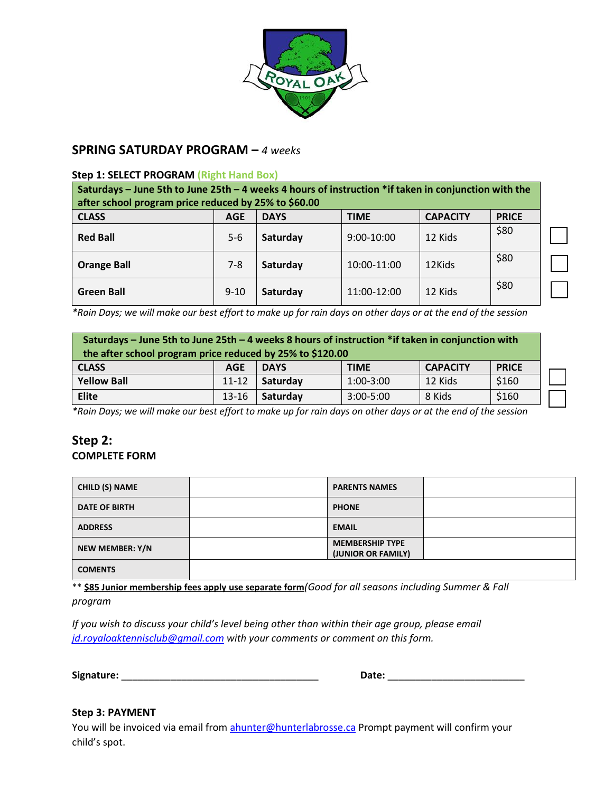

## **SPRING SATURDAY PROGRAM –** *4 weeks*

#### **Step 1: SELECT PROGRAM (Right Hand Box)**

| Saturdays – June 5th to June 25th – 4 weeks 4 hours of instruction $*$ if taken in conjunction with the<br>after school program price reduced by 25% to \$60.00 |                                                                             |          |             |         |      |  |  |
|-----------------------------------------------------------------------------------------------------------------------------------------------------------------|-----------------------------------------------------------------------------|----------|-------------|---------|------|--|--|
| <b>CLASS</b>                                                                                                                                                    | <b>PRICE</b><br><b>DAYS</b><br><b>TIME</b><br><b>CAPACITY</b><br><b>AGE</b> |          |             |         |      |  |  |
| <b>Red Ball</b>                                                                                                                                                 | $5 - 6$                                                                     | Saturday | 9:00-10:00  | 12 Kids | \$80 |  |  |
| <b>Orange Ball</b>                                                                                                                                              | $7 - 8$                                                                     | Saturday | 10:00-11:00 | 12Kids  | \$80 |  |  |
| <b>Green Ball</b>                                                                                                                                               | $9 - 10$                                                                    | Saturday | 11:00-12:00 | 12 Kids | \$80 |  |  |

*\*Rain Days; we will make our best effort to make up for rain days on other days or at the end of the session*

| Saturdays – June 5th to June 25th – 4 weeks 8 hours of instruction *if taken in conjunction with<br>the after school program price reduced by 25% to \$120.00 |            |             |               |                 |              |
|---------------------------------------------------------------------------------------------------------------------------------------------------------------|------------|-------------|---------------|-----------------|--------------|
| <b>CLASS</b>                                                                                                                                                  | <b>AGE</b> | <b>DAYS</b> | <b>TIME</b>   | <b>CAPACITY</b> | <b>PRICE</b> |
| <b>Yellow Ball</b>                                                                                                                                            | 11-12      | Saturday    | $1:00-3:00$   | 12 Kids         | \$160        |
| Elite                                                                                                                                                         | $13 - 16$  | Saturday    | $3:00 - 5:00$ | 8 Kids          | \$160        |

*\*Rain Days; we will make our best effort to make up for rain days on other days or at the end of the session*

# **Step 2: COMPLETE FORM**

| <b>CHILD (S) NAME</b> | <b>PARENTS NAMES</b>                         |  |
|-----------------------|----------------------------------------------|--|
| <b>DATE OF BIRTH</b>  | <b>PHONE</b>                                 |  |
| <b>ADDRESS</b>        | <b>EMAIL</b>                                 |  |
| NEW MEMBER: Y/N       | <b>MEMBERSHIP TYPE</b><br>(JUNIOR OR FAMILY) |  |
| <b>COMENTS</b>        |                                              |  |

\*\* **\$85 Junior membership fees apply use separate form***(Good for all seasons including Summer & Fall program*

*If you wish to discuss your child's level being other than within their age group, please email [jd.royaloaktennisclub@gmail.com](mailto:jd.royaloaktennisclub@gmail.com) with your comments or comment on this form.*

**Signature:** \_\_\_\_\_\_\_\_\_\_\_\_\_\_\_\_\_\_\_\_\_\_\_\_\_\_\_\_\_\_\_\_\_\_\_\_ **Date:** \_\_\_\_\_\_\_\_\_\_\_\_\_\_\_\_\_\_\_\_\_\_\_\_\_

| Date: |
|-------|
|-------|

#### **Step 3: PAYMENT**

You will be invoiced via email fro[m ahunter@hunterlabrosse.ca](mailto:ahunter@hunterlabrosse.ca) Prompt payment will confirm your child's spot.